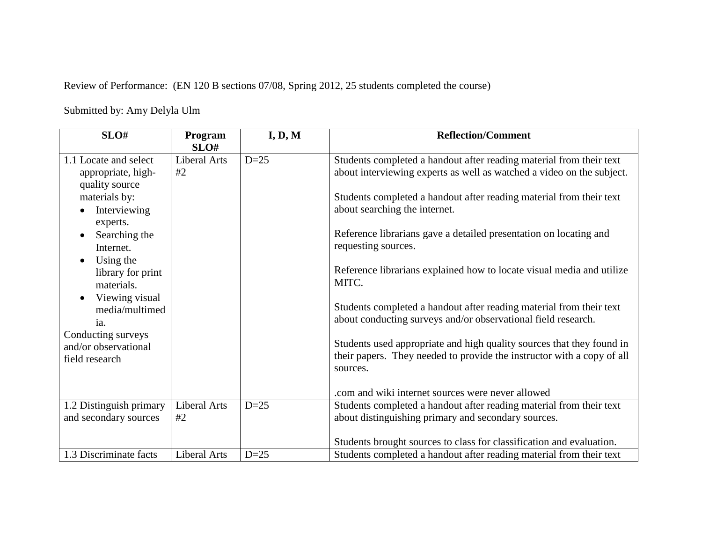Review of Performance: (EN 120 B sections 07/08, Spring 2012, 25 students completed the course)

Submitted by: Amy Delyla Ulm

| SLO#                         | Program<br>SLO# | I, D, M | <b>Reflection/Comment</b>                                                          |
|------------------------------|-----------------|---------|------------------------------------------------------------------------------------|
| 1.1 Locate and select        | Liberal Arts    | $D=25$  | Students completed a handout after reading material from their text                |
| appropriate, high-           | #2              |         | about interviewing experts as well as watched a video on the subject.              |
| quality source               |                 |         |                                                                                    |
| materials by:                |                 |         | Students completed a handout after reading material from their text                |
| Interviewing<br>experts.     |                 |         | about searching the internet.                                                      |
| Searching the                |                 |         | Reference librarians gave a detailed presentation on locating and                  |
| Internet.                    |                 |         | requesting sources.                                                                |
| Using the                    |                 |         |                                                                                    |
| library for print            |                 |         | Reference librarians explained how to locate visual media and utilize<br>MITC.     |
| materials.<br>Viewing visual |                 |         |                                                                                    |
| media/multimed               |                 |         | Students completed a handout after reading material from their text                |
| ia.                          |                 |         | about conducting surveys and/or observational field research.                      |
| Conducting surveys           |                 |         |                                                                                    |
| and/or observational         |                 |         | Students used appropriate and high quality sources that they found in              |
| field research               |                 |         | their papers. They needed to provide the instructor with a copy of all<br>sources. |
|                              |                 |         |                                                                                    |
|                              |                 |         | .com and wiki internet sources were never allowed                                  |
| 1.2 Distinguish primary      | Liberal Arts    | $D=25$  | Students completed a handout after reading material from their text                |
| and secondary sources        | #2              |         | about distinguishing primary and secondary sources.                                |
|                              |                 |         |                                                                                    |
|                              |                 |         | Students brought sources to class for classification and evaluation.               |
| 1.3 Discriminate facts       | Liberal Arts    | $D=25$  | Students completed a handout after reading material from their text                |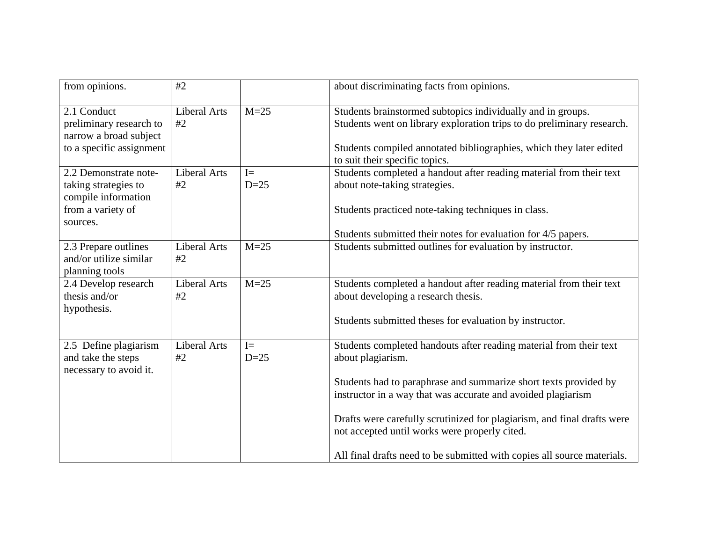| from opinions.                                                                                        | #2                        |                 | about discriminating facts from opinions.                                                                                                                                                                                                                                                                                                                                                                                          |
|-------------------------------------------------------------------------------------------------------|---------------------------|-----------------|------------------------------------------------------------------------------------------------------------------------------------------------------------------------------------------------------------------------------------------------------------------------------------------------------------------------------------------------------------------------------------------------------------------------------------|
| 2.1 Conduct<br>preliminary research to<br>narrow a broad subject<br>to a specific assignment          | <b>Liberal Arts</b><br>#2 | $M=25$          | Students brainstormed subtopics individually and in groups.<br>Students went on library exploration trips to do preliminary research.<br>Students compiled annotated bibliographies, which they later edited<br>to suit their specific topics.                                                                                                                                                                                     |
| 2.2 Demonstrate note-<br>taking strategies to<br>compile information<br>from a variety of<br>sources. | <b>Liberal Arts</b><br>#2 | $I =$<br>$D=25$ | Students completed a handout after reading material from their text<br>about note-taking strategies.<br>Students practiced note-taking techniques in class.<br>Students submitted their notes for evaluation for 4/5 papers.                                                                                                                                                                                                       |
| 2.3 Prepare outlines<br>and/or utilize similar<br>planning tools                                      | <b>Liberal Arts</b><br>#2 | $M=25$          | Students submitted outlines for evaluation by instructor.                                                                                                                                                                                                                                                                                                                                                                          |
| 2.4 Develop research<br>thesis and/or<br>hypothesis.                                                  | <b>Liberal Arts</b><br>#2 | $M=25$          | Students completed a handout after reading material from their text<br>about developing a research thesis.<br>Students submitted theses for evaluation by instructor.                                                                                                                                                                                                                                                              |
| 2.5 Define plagiarism<br>and take the steps<br>necessary to avoid it.                                 | <b>Liberal Arts</b><br>#2 | $I=$<br>$D=25$  | Students completed handouts after reading material from their text<br>about plagiarism.<br>Students had to paraphrase and summarize short texts provided by<br>instructor in a way that was accurate and avoided plagiarism<br>Drafts were carefully scrutinized for plagiarism, and final drafts were<br>not accepted until works were properly cited.<br>All final drafts need to be submitted with copies all source materials. |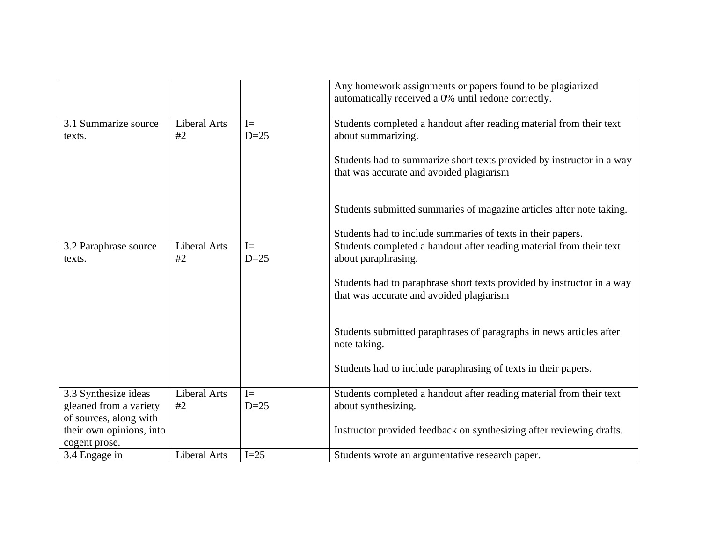|                                 |                           |                | Any homework assignments or papers found to be plagiarized<br>automatically received a 0% until redone correctly.  |
|---------------------------------|---------------------------|----------------|--------------------------------------------------------------------------------------------------------------------|
| 3.1 Summarize source<br>texts.  | <b>Liberal Arts</b><br>#2 | $I=$<br>$D=25$ | Students completed a handout after reading material from their text<br>about summarizing.                          |
|                                 |                           |                | Students had to summarize short texts provided by instructor in a way<br>that was accurate and avoided plagiarism  |
|                                 |                           |                | Students submitted summaries of magazine articles after note taking.                                               |
|                                 |                           |                | Students had to include summaries of texts in their papers.                                                        |
| 3.2 Paraphrase source<br>texts. | <b>Liberal Arts</b><br>#2 | $I=$<br>$D=25$ | Students completed a handout after reading material from their text<br>about paraphrasing.                         |
|                                 |                           |                | Students had to paraphrase short texts provided by instructor in a way<br>that was accurate and avoided plagiarism |
|                                 |                           |                | Students submitted paraphrases of paragraphs in news articles after<br>note taking.                                |
|                                 |                           |                | Students had to include paraphrasing of texts in their papers.                                                     |
| 3.3 Synthesize ideas            | <b>Liberal Arts</b>       | $I=$           | Students completed a handout after reading material from their text                                                |
| gleaned from a variety          | #2                        | $D=25$         | about synthesizing.                                                                                                |
| of sources, along with          |                           |                |                                                                                                                    |
| their own opinions, into        |                           |                | Instructor provided feedback on synthesizing after reviewing drafts.                                               |
| cogent prose.<br>3.4 Engage in  | <b>Liberal Arts</b>       | $I=25$         | Students wrote an argumentative research paper.                                                                    |
|                                 |                           |                |                                                                                                                    |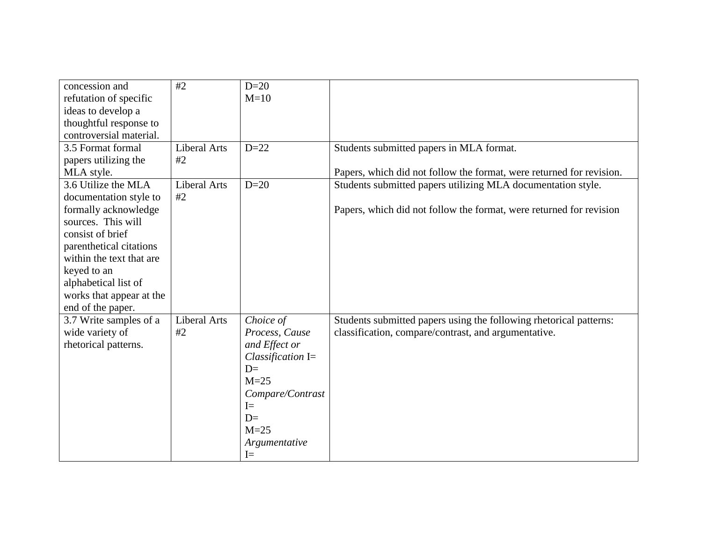| concession and           | #2                  | $D=20$              |                                                                      |
|--------------------------|---------------------|---------------------|----------------------------------------------------------------------|
| refutation of specific   |                     | $M=10$              |                                                                      |
| ideas to develop a       |                     |                     |                                                                      |
| thoughtful response to   |                     |                     |                                                                      |
| controversial material.  |                     |                     |                                                                      |
| 3.5 Format formal        | Liberal Arts        | $D=22$              | Students submitted papers in MLA format.                             |
| papers utilizing the     | #2                  |                     |                                                                      |
| MLA style.               |                     |                     | Papers, which did not follow the format, were returned for revision. |
| 3.6 Utilize the MLA      | Liberal Arts        | $D=20$              | Students submitted papers utilizing MLA documentation style.         |
| documentation style to   | #2                  |                     |                                                                      |
| formally acknowledge     |                     |                     | Papers, which did not follow the format, were returned for revision  |
| sources. This will       |                     |                     |                                                                      |
| consist of brief         |                     |                     |                                                                      |
| parenthetical citations  |                     |                     |                                                                      |
| within the text that are |                     |                     |                                                                      |
| keyed to an              |                     |                     |                                                                      |
| alphabetical list of     |                     |                     |                                                                      |
| works that appear at the |                     |                     |                                                                      |
| end of the paper.        |                     |                     |                                                                      |
| 3.7 Write samples of a   | <b>Liberal Arts</b> | Choice of           | Students submitted papers using the following rhetorical patterns:   |
| wide variety of          | #2                  | Process, Cause      | classification, compare/contrast, and argumentative.                 |
| rhetorical patterns.     |                     | and Effect or       |                                                                      |
|                          |                     | Classification $I=$ |                                                                      |
|                          |                     | $D=$                |                                                                      |
|                          |                     | $M=25$              |                                                                      |
|                          |                     | Compare/Contrast    |                                                                      |
|                          |                     | $I=$                |                                                                      |
|                          |                     | $D=$                |                                                                      |
|                          |                     | $M=25$              |                                                                      |
|                          |                     | Argumentative       |                                                                      |
|                          |                     | $I=$                |                                                                      |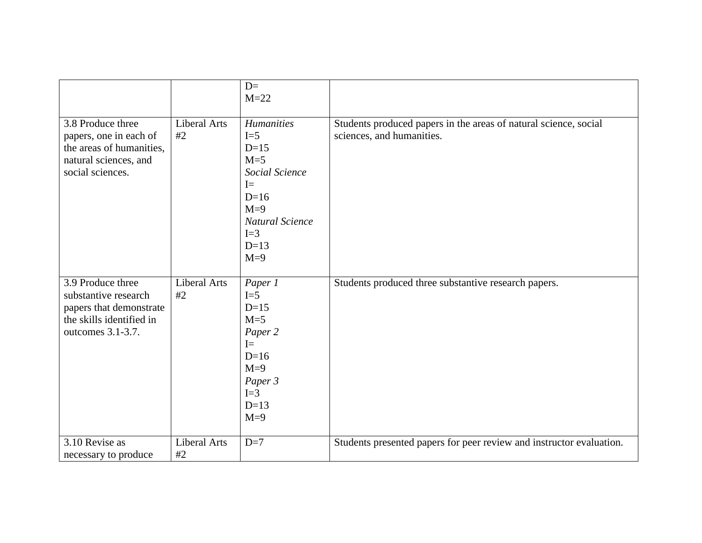|                                                                                                                       |                    | $D=$<br>$M=22$                                                                                                                                   |                                                                                               |
|-----------------------------------------------------------------------------------------------------------------------|--------------------|--------------------------------------------------------------------------------------------------------------------------------------------------|-----------------------------------------------------------------------------------------------|
| 3.8 Produce three<br>papers, one in each of<br>the areas of humanities,<br>natural sciences, and<br>social sciences.  | Liberal Arts<br>#2 | <b>Humanities</b><br>$I=5$<br>$D=15$<br>$M=5$<br>Social Science<br>$I=$<br>$D=16$<br>$M=9$<br><b>Natural Science</b><br>$I=3$<br>$D=13$<br>$M=9$ | Students produced papers in the areas of natural science, social<br>sciences, and humanities. |
| 3.9 Produce three<br>substantive research<br>papers that demonstrate<br>the skills identified in<br>outcomes 3.1-3.7. | Liberal Arts<br>#2 | Paper 1<br>$I=5$<br>$D=15$<br>$M=5$<br>Paper 2<br>$I=$<br>$D=16$<br>$M=9$<br>Paper 3<br>$I=3$<br>$D=13$<br>$M=9$                                 | Students produced three substantive research papers.                                          |
| 3.10 Revise as<br>necessary to produce                                                                                | Liberal Arts<br>#2 | $D=7$                                                                                                                                            | Students presented papers for peer review and instructor evaluation.                          |